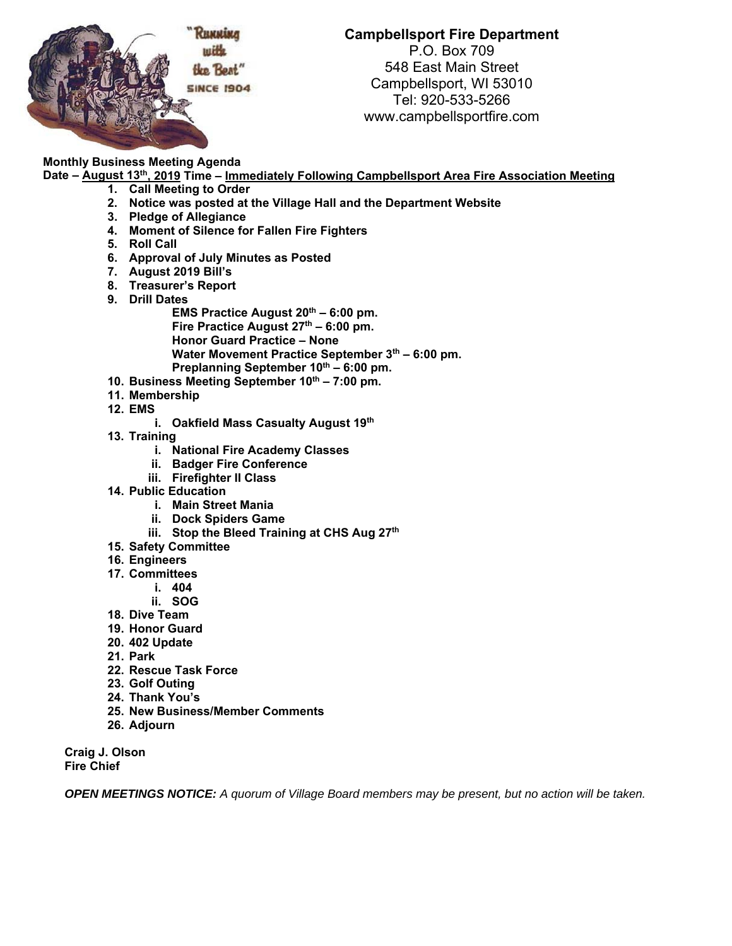

## **Campbellsport Fire Department**

P.O. Box 709 548 East Main Street Campbellsport, WI 53010 Tel: 920-533-5266 www.campbellsportfire.com

## **Monthly Business Meeting Agenda**

**Date – August 13th, 2019 Time – Immediately Following Campbellsport Area Fire Association Meeting** 

- **1. Call Meeting to Order**
- **2. Notice was posted at the Village Hall and the Department Website**
- **3. Pledge of Allegiance**
- **4. Moment of Silence for Fallen Fire Fighters**
- **5. Roll Call**
- **6. Approval of July Minutes as Posted**
- **7. August 2019 Bill's**
- **8. Treasurer's Report**
- **9. Drill Dates** 
	- **EMS Practice August 20th 6:00 pm.** Fire Practice August 27<sup>th</sup> – 6:00 pm. **Honor Guard Practice – None**  Water Movement Practice September 3<sup>th</sup> - 6:00 pm. Preplanning September 10<sup>th</sup> – 6:00 pm.
- 10. Business Meeting September 10<sup>th</sup> 7:00 pm.
- **11. Membership**
- **12. EMS** 
	- **i. Oakfield Mass Casualty August 19th**
- **13. Training** 
	- **i. National Fire Academy Classes**
	- **ii. Badger Fire Conference**
	- **iii. Firefighter II Class**
- **14. Public Education** 
	- **i. Main Street Mania**
	- **ii. Dock Spiders Game**
	- **iii.** Stop the Bleed Training at CHS Aug 27<sup>th</sup>
- **15. Safety Committee**
- **16. Engineers**
- **17. Committees** 
	- **i. 404**
	- **ii. SOG**
- **18. Dive Team**
- **19. Honor Guard**
- **20. 402 Update**
- **21. Park**
- **22. Rescue Task Force**
- **23. Golf Outing**
- **24. Thank You's**
- **25. New Business/Member Comments**
- **26. Adjourn**

**Craig J. Olson Fire Chief** 

*OPEN MEETINGS NOTICE: A quorum of Village Board members may be present, but no action will be taken.*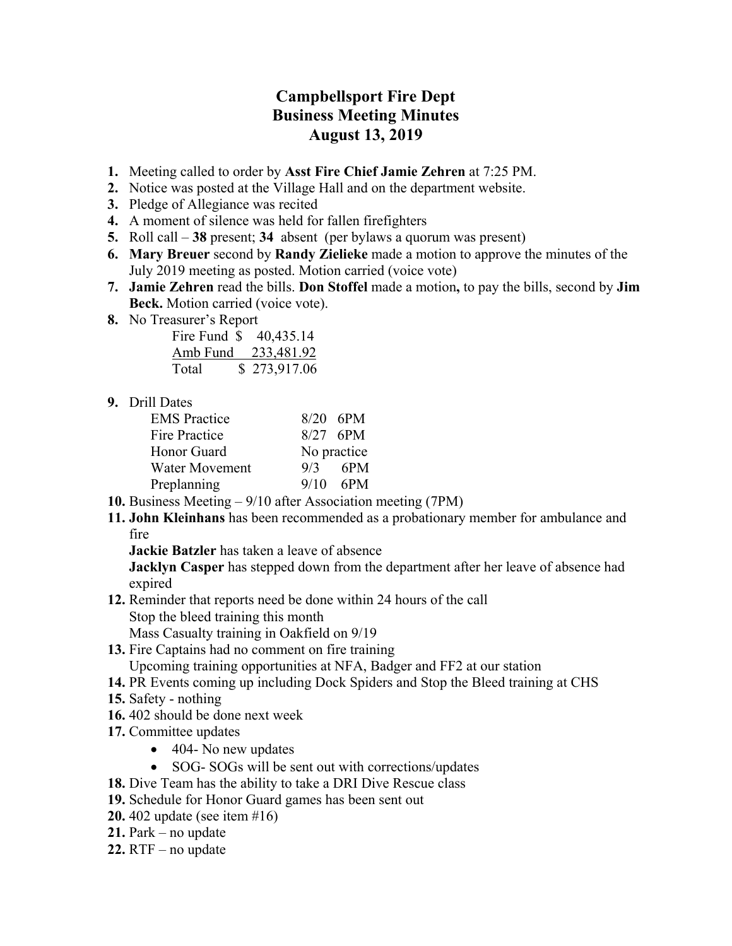## **Campbellsport Fire Dept Business Meeting Minutes August 13, 2019**

- **1.** Meeting called to order by **Asst Fire Chief Jamie Zehren** at 7:25 PM.
- **2.** Notice was posted at the Village Hall and on the department website.
- **3.** Pledge of Allegiance was recited
- **4.** A moment of silence was held for fallen firefighters
- **5.** Roll call **38** present; **34** absent (per bylaws a quorum was present)
- **6. Mary Breuer** second by **Randy Zielieke** made a motion to approve the minutes of the July 2019 meeting as posted. Motion carried (voice vote)
- **7. Jamie Zehren** read the bills. **Don Stoffel** made a motion**,** to pay the bills, second by **Jim Beck.** Motion carried (voice vote).
- **8.** No Treasurer's Report

| Fire Fund \$ | 40,435.14    |
|--------------|--------------|
| Amb Fund     | 233,481.92   |
| Total        | \$273,917.06 |

**9.** Drill Dates

| <b>EMS</b> Practice   |             | $8/20$ 6PM |
|-----------------------|-------------|------------|
| <b>Fire Practice</b>  |             | $8/27$ 6PM |
| Honor Guard           | No practice |            |
| <b>Water Movement</b> | 9/3         | 6PM        |
| Preplanning           |             | $9/10$ 6PM |

- **10.** Business Meeting 9/10 after Association meeting (7PM)
- **11. John Kleinhans** has been recommended as a probationary member for ambulance and fire

**Jackie Batzler** has taken a leave of absence

**Jacklyn Casper** has stepped down from the department after her leave of absence had expired

**12.** Reminder that reports need be done within 24 hours of the call Stop the bleed training this month

Mass Casualty training in Oakfield on 9/19

- **13.** Fire Captains had no comment on fire training
- Upcoming training opportunities at NFA, Badger and FF2 at our station
- **14.** PR Events coming up including Dock Spiders and Stop the Bleed training at CHS
- **15.** Safety nothing
- **16.** 402 should be done next week
- **17.** Committee updates
	- 404 No new updates
	- SOG- SOGs will be sent out with corrections/updates
- **18.** Dive Team has the ability to take a DRI Dive Rescue class
- **19.** Schedule for Honor Guard games has been sent out
- **20.** 402 update (see item #16)
- **21.** Park no update
- **22.** RTF no update